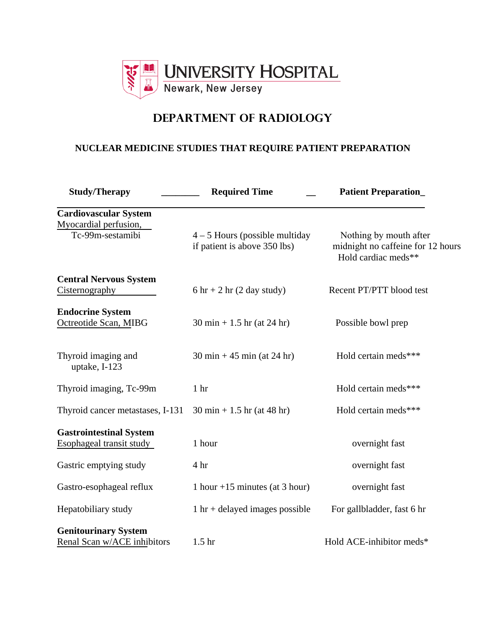

# **DEPARTMENT OF RADIOLOGY**

## **NUCLEAR MEDICINE STUDIES THAT REQUIRE PATIENT PREPARATION**

| <b>Study/Therapy</b>                                                      | <b>Required Time</b>                                             | <b>Patient Preparation</b>                                                         |
|---------------------------------------------------------------------------|------------------------------------------------------------------|------------------------------------------------------------------------------------|
| <b>Cardiovascular System</b><br>Myocardial perfusion,<br>Tc-99m-sestamibi | $4 - 5$ Hours (possible multiday<br>if patient is above 350 lbs) | Nothing by mouth after<br>midnight no caffeine for 12 hours<br>Hold cardiac meds** |
| <b>Central Nervous System</b><br><b>Cisternography</b>                    | $6 \text{ hr} + 2 \text{ hr}$ (2 day study)                      | Recent PT/PTT blood test                                                           |
| <b>Endocrine System</b><br>Octreotide Scan, MIBG                          | $30 \text{ min} + 1.5 \text{ hr}$ (at 24 hr)                     | Possible bowl prep                                                                 |
| Thyroid imaging and<br>uptake, I-123                                      | $30 \text{ min} + 45 \text{ min}$ (at 24 hr)                     | Hold certain meds***                                                               |
| Thyroid imaging, Tc-99m                                                   | 1 <sub>hr</sub>                                                  | Hold certain meds***                                                               |
| Thyroid cancer metastases, I-131                                          | $30 \text{ min} + 1.5 \text{ hr}$ (at 48 hr)                     | Hold certain meds***                                                               |
| <b>Gastrointestinal System</b><br>Esophageal transit study                | 1 hour                                                           | overnight fast                                                                     |
| Gastric emptying study                                                    | 4 hr                                                             | overnight fast                                                                     |
| Gastro-esophageal reflux                                                  | 1 hour $+15$ minutes (at 3 hour)                                 | overnight fast                                                                     |
| Hepatobiliary study                                                       | $1 \text{ hr} +$ delayed images possible                         | For gallbladder, fast 6 hr                                                         |
| <b>Genitourinary System</b><br>Renal Scan w/ACE inhibitors                | 1.5 <sub>hr</sub>                                                | Hold ACE-inhibitor meds*                                                           |